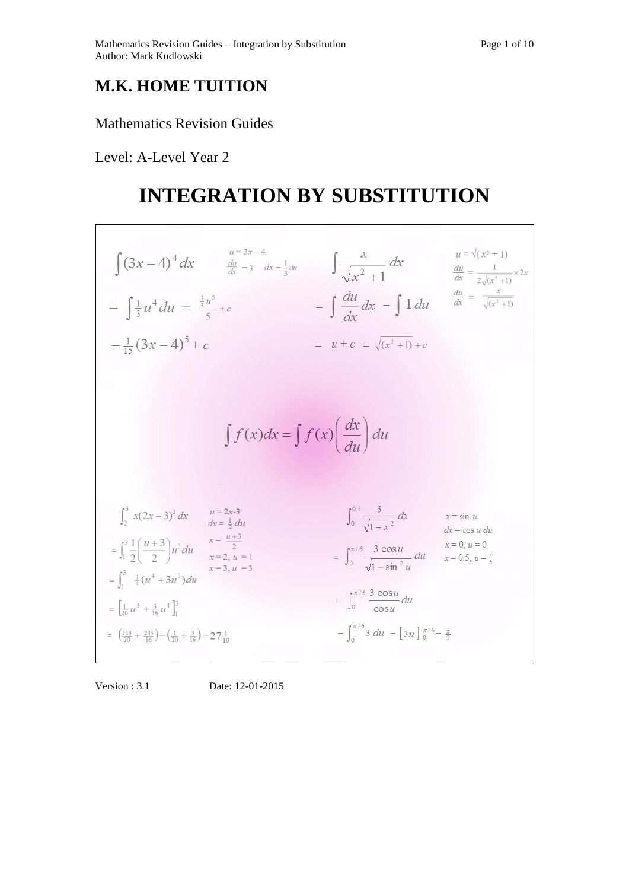## **M.K. HOME TUITION**

### Mathematics Revision Guides

Level: A-Level Year 2

Г

# **INTEGRATION BY SUBSTITUTION**

| $\int (3x-4)^4 dx$ $\frac{du}{dx} = 3 dx = \frac{1}{3} du$ $\int \frac{x}{\sqrt{x^2+1}} dx$<br>$=\int \frac{1}{3}u^4 du = \frac{\frac{1}{3}u^5}{5} + c$<br>$=\frac{1}{15}(3x-4)^5+c$                                                                                                         | $=\int \frac{du}{dx} dx = \int 1 du$<br>$= u + c = \sqrt{(x^2 + 1)} + c$                                                                                | $u = \sqrt{(x^2+1)}$<br>$\frac{du}{dx} = \frac{1}{2\sqrt{(x^2+1)}} \times 2x$<br>$\frac{du}{dx} = \frac{x}{\sqrt{(x^2+1)}}$ |
|----------------------------------------------------------------------------------------------------------------------------------------------------------------------------------------------------------------------------------------------------------------------------------------------|---------------------------------------------------------------------------------------------------------------------------------------------------------|-----------------------------------------------------------------------------------------------------------------------------|
| $\int f(x)dx = \int f(x) \left(\frac{dx}{du}\right) du$                                                                                                                                                                                                                                      |                                                                                                                                                         |                                                                                                                             |
| $u = 2x-3$<br>$\int_{2}^{3} x(2x-3)^{3} dx$<br>$dx = \frac{1}{2} du$<br>$x = \frac{u+3}{2}$<br>$=\int_1^3 \frac{1}{2} \left( \frac{u+3}{2} \right) u^3 du$<br>$x=2, u=1$<br>$x = 3, u = 3$<br>$=\int_{1}^{3} \frac{1}{4}(u^4+3u^3)du$<br>$=\left[\frac{1}{20}u^5+\frac{3}{16}u^4\right]_1^3$ | $\int_0^{0.5} \frac{3}{\sqrt{1-x^2}} dx$<br>$= \int_0^{\pi/6} \frac{3 \cos u}{\sqrt{1 - \sin^2 u}} du$<br>$= \int_0^{\pi/6} \frac{3 \cos u}{\cos u} du$ | $x = \sin u$<br>$dx = \cos u du$<br>$x = 0, u = 0$<br>$x = 0.5$ , $u = \frac{\pi}{6}$                                       |
| $=\left(\frac{243}{20}+\frac{243}{16}\right)-\left(\frac{1}{20}+\frac{3}{16}\right)=27\frac{1}{10}$                                                                                                                                                                                          | $=\int_{0}^{\pi/6} 3 \ du = \left[3u\right]_{0}^{\pi/6} = \frac{\pi}{2}$                                                                                |                                                                                                                             |

Version : 3.1 Date: 12-01-2015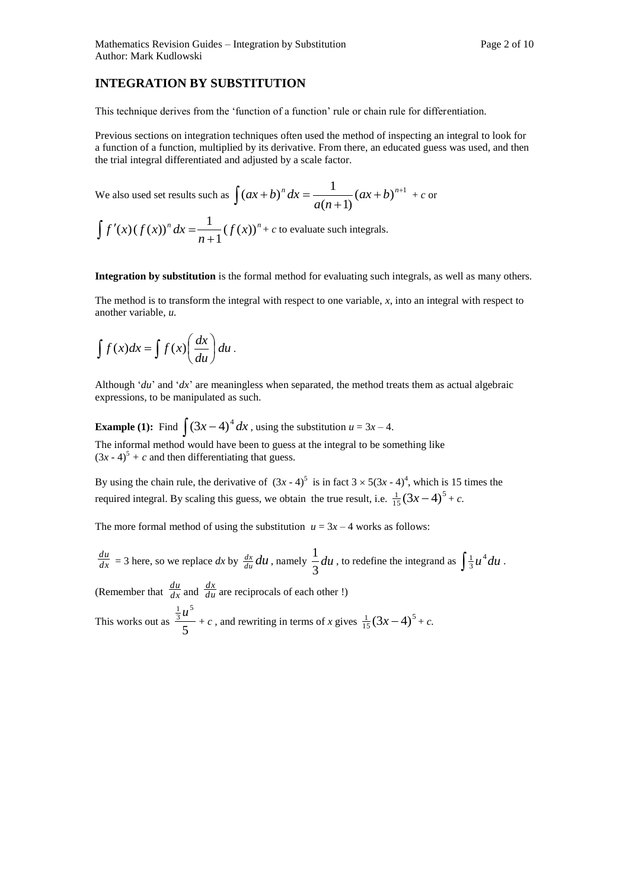#### **INTEGRATION BY SUBSTITUTION**

This technique derives from the 'function of a function' rule or chain rule for differentiation.

Previous sections on integration techniques often used the method of inspecting an integral to look for a function of a function, multiplied by its derivative. From there, an educated guess was used, and then the trial integral differentiated and adjusted by a scale factor.

We also used set results such as 
$$
\int (ax+b)^n dx = \frac{1}{a(n+1)} (ax+b)^{n+1} + c
$$
or
$$
\int f'(x) (f(x))^n dx = \frac{1}{n+1} (f(x))^n + c
$$
to evaluate such integrals.

**Integration by substitution** is the formal method for evaluating such integrals, as well as many others.

The method is to transform the integral with respect to one variable, *x*, into an integral with respect to another variable, *u.* 

$$
\int f(x)dx = \int f(x)\left(\frac{dx}{du}\right)du.
$$

Although '*du*' and '*dx*' are meaningless when separated, the method treats them as actual algebraic expressions, to be manipulated as such.

**Example (1):** Find  $\int (3x-4)^4 dx$ , using the substitution  $u = 3x - 4$ . The informal method would have been to guess at the integral to be something like  $(3x - 4)^5 + c$  and then differentiating that guess.

By using the chain rule, the derivative of  $(3x - 4)^5$  is in fact  $3 \times 5(3x - 4)^4$ , which is 15 times the required integral. By scaling this guess, we obtain the true result, i.e.  $\frac{1}{15}(3x-4)^5$  $\frac{1}{15}(3x-4)^5 + c.$ 

The more formal method of using the substitution  $u = 3x - 4$  works as follows:

*dx*  $\frac{du}{dx}$  = 3 here, so we replace *dx* by  $\frac{dx}{du}du$ , namely  $\frac{1}{2}du$ 3  $\frac{1}{3}du$ , to redefine the integrand as  $\int \frac{1}{3}u^4 du$ . (Remember that  $\frac{du}{dx}$ )  $\frac{du}{dx}$  and  $\frac{dx}{du}$  $\frac{dx}{du}$  are reciprocals of each other !) This works out as  $\frac{3}{5}$ 5  $\frac{\frac{1}{3}u^5}{\frac{1}{2}} + c$ , and rewriting in terms of *x* gives  $\frac{1}{15}(3x-4)^5$  $\frac{1}{15}(3x-4)^5 + c.$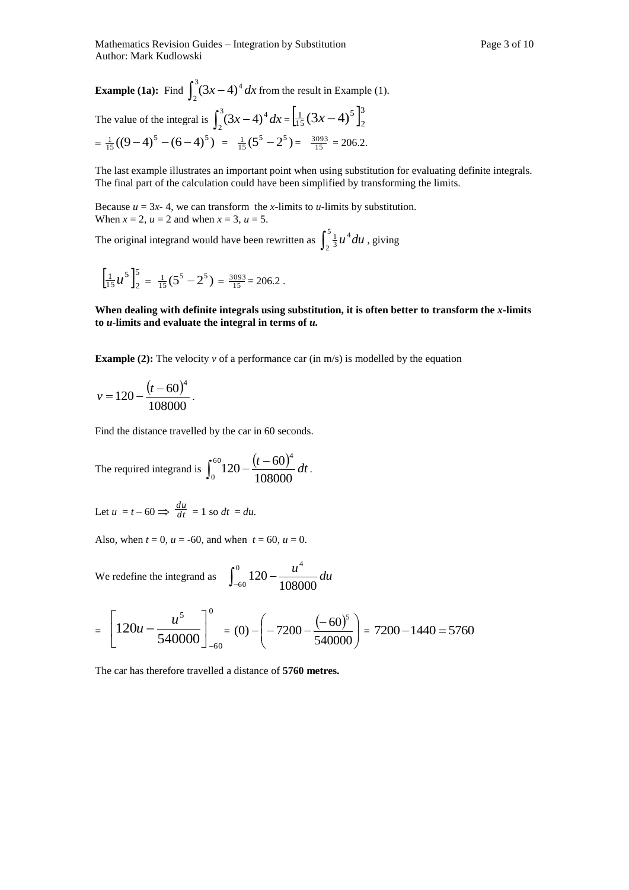**Example (1a):** Find  $\int_2^3 (3x -$ 2  $(3x-4)^4 dx$  from the result in Example (1).

The value of the integral is 
$$
\int_2^3 (3x-4)^4 dx = \left[ \frac{1}{15} (3x-4)^5 \right]_2^3
$$

$$
= \frac{1}{15} ((9-4)^5 - (6-4)^5) = \frac{1}{15} (5^5 - 2^5) = \frac{3093}{15} = 206.2.
$$

The last example illustrates an important point when using substitution for evaluating definite integrals. The final part of the calculation could have been simplified by transforming the limits.

Because  $u = 3x - 4$ , we can transform the *x*-limits to *u*-limits by substitution. When  $x = 2$ ,  $u = 2$  and when  $x = 3$ ,  $u = 5$ .

The original integrand would have been rewritten as  $\int_2^5$ 2 4  $\frac{1}{3}$ *u*<sup>4</sup>*du*, giving

$$
\left[\frac{1}{15}u^5\right]_2^5 = \frac{1}{15}(5^5 - 2^5) = \frac{3093}{15} = 206.2.
$$

**When dealing with definite integrals using substitution, it is often better to transform the** *x-***limits to** *u***-limits and evaluate the integral in terms of** *u.*

**Example (2):** The velocity *v* of a performance car (in m/s) is modelled by the equation

$$
v = 120 - \frac{(t - 60)^4}{108000}.
$$

Find the distance travelled by the car in 60 seconds.

The required integrand is  $\int_0^{60} 120 - \frac{(t - 60)^2}{108000}$  $\boldsymbol{0}$ 4 108000  $120 - \frac{(t - 60)^4}{t} dt$ .

Let 
$$
u = t - 60 \implies \frac{du}{dt} = 1
$$
 so  $dt = du$ .

Also, when  $t = 0$ ,  $u = -60$ , and when  $t = 60$ ,  $u = 0$ .

We redefine the integrand as  $\int_{-60}^{0} 120 -$ 60 4 108000  $120 - \frac{u^4}{400000} du$ 

$$
= \left[120u - \frac{u^5}{540000}\right]_{-60}^{0} = (0) - \left(-7200 - \frac{(-60)^5}{540000}\right) = 7200 - 1440 = 5760
$$

The car has therefore travelled a distance of **5760 metres.**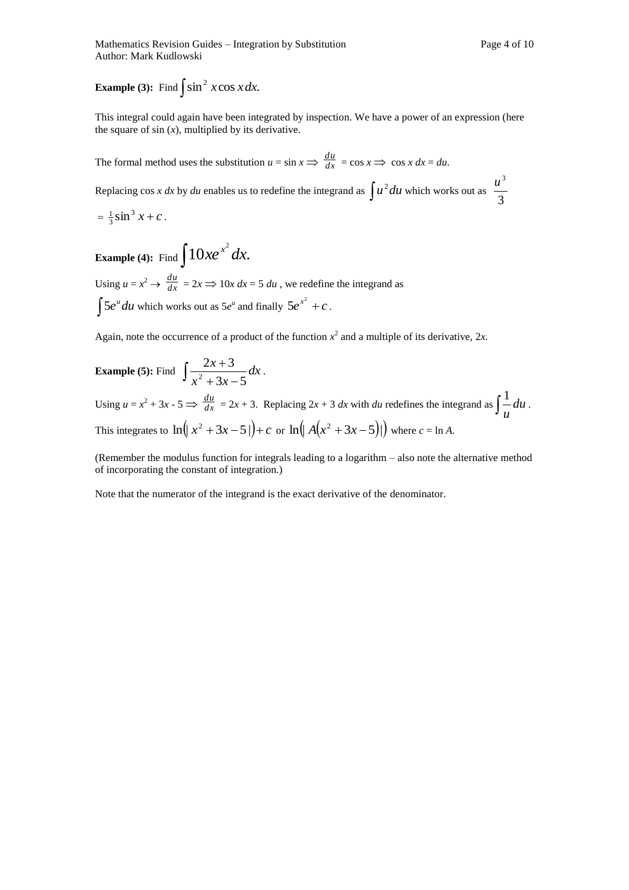## **Example** (3): Find  $\int \sin^2 x \cos x dx$ .

This integral could again have been integrated by inspection. We have a power of an expression (here the square of  $sin(x)$ , multiplied by its derivative.

The formal method uses the substitution  $u = \sin x \implies \frac{du}{dx}$  $\frac{du}{dx}$  = cos  $x \implies \cos x \, dx = du$ . Replacing cos *x dx* by *du* enables us to redefine the integrand as  $\int u^2 du$  which works out as 3  $u^3$  $=\frac{1}{3}\sin^3 x + c$  $\frac{1}{3}\sin^3 x + c$ .

**Example (4):** Find  $\int 10xe^{x^2} dx$ .

Using  $u = x^2 \rightarrow \frac{du}{dx}$  $\frac{du}{dx}$  = 2*x*  $\Rightarrow$  10*x dx* = 5 *du*, we redefine the integrand as  $\int 5e^u du$  which works out as  $5e^u$  and finally  $5e^{x^2} + c$ .

Again, note the occurrence of a product of the function  $x^2$  and a multiple of its derivative, 2x.

**Example (5):** Find  $\int \frac{2x+3}{x^2-2x+1} dx$  $x^2 + 3x$ *x*  $3x - 5$  $\int \frac{2x+3}{x^2+3x-}$  $\frac{+3}{x}$  dx. Using  $u = x^2 + 3x - 5 \implies \frac{du}{dx}$  $\frac{du}{dx} = 2x + 3$ . Replacing  $2x + 3 dx$  with *du* redefines the integrand as  $\int \frac{1}{u} du$ *u*  $\frac{1}{-}du$ . This integrates to  $\ln(|x^2 + 3x - 5|) + c$  or  $\ln(|A(x^2 + 3x - 5)|)$  where  $c = \ln A$ .

(Remember the modulus function for integrals leading to a logarithm – also note the alternative method of incorporating the constant of integration.)

Note that the numerator of the integrand is the exact derivative of the denominator.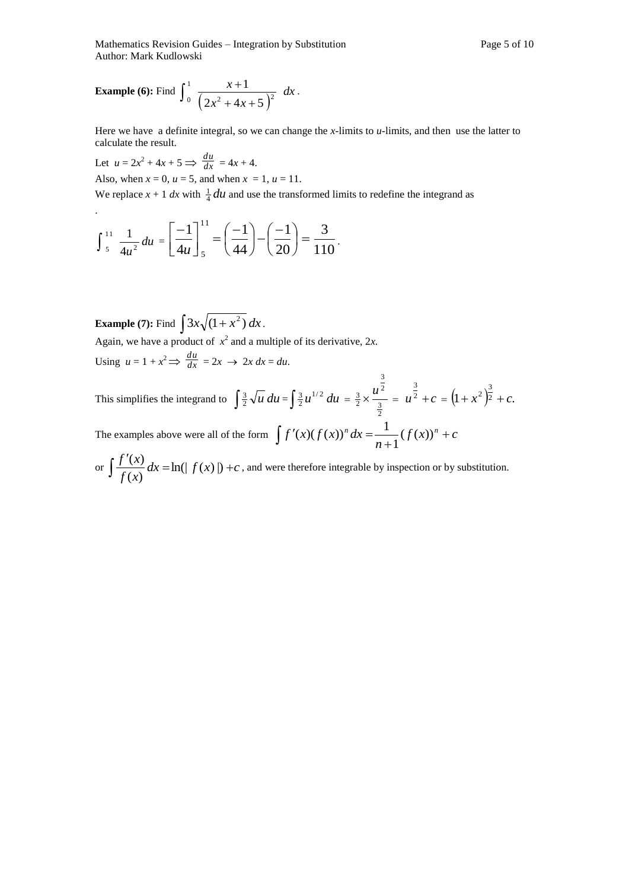Mathematics Revision Guides – Integration by Substitution Page 5 of 10 Author: Mark Kudlowski

**Example (6): Find** 
$$
\int_0^1 \frac{x+1}{(2x^2+4x+5)^2} dx
$$
.

Here we have a definite integral, so we can change the *x-*limits to *u-*limits, and then use the latter to calculate the result.

Let  $u = 2x^2 + 4x + 5 \implies \frac{du}{dx}$  $\frac{du}{dx} = 4x + 4.$ Also, when  $x = 0$ ,  $u = 5$ , and when  $x = 1$ ,  $u = 11$ .

.

We replace  $x + 1$  *dx* with  $\frac{1}{4}$  *du* and use the transformed limits to redefine the integrand as

$$
\int_{5}^{11} \frac{1}{4u^2} du = \left[\frac{-1}{4u}\right]_{5}^{11} = \left(\frac{-1}{44}\right) - \left(\frac{-1}{20}\right) = \frac{3}{110}.
$$

**Example (7):** Find  $\int 3x\sqrt{1+x^2} dx$ .

Again, we have a product of  $x^2$  and a multiple of its derivative, 2x. Using  $u = 1 + x^2 \implies \frac{du}{dx}$  $\frac{du}{dx} = 2x \rightarrow 2x dx = du.$ 

This simplifies the integrand to  $\int \frac{3}{2} \sqrt{u} \, du = \int \frac{3}{2} u^{1/2} \, du =$  $\frac{3}{2}$ 2  $\frac{3}{2} \times \frac{u^2}{3} = u^{\frac{3}{2}} + c$ 3  $+c = (1 + x^2)^{\frac{1}{2}} + c.$  $(x^{2})^{\frac{3}{2}} + c$ The examples above were all of the form  $\int f'(x) (f(x))^n dx = \frac{1}{\sqrt{2\pi}} (f(x))^n + c$ *n*  $f'(x)(f(x))^{n} dx = \frac{1}{x^{n}} (f(x))^{n} +$  $\overline{+}$  $\int f'(x)(f(x))^n dx = \frac{1}{n+1}(f(x))$ 1  $f(x)(f(x))^{n} dx = \frac{1}{x}$ 

3

or 
$$
\int \frac{f'(x)}{f(x)} dx = \ln(|f(x)|) + c
$$
, and were therefore integrable by inspection or by substitution.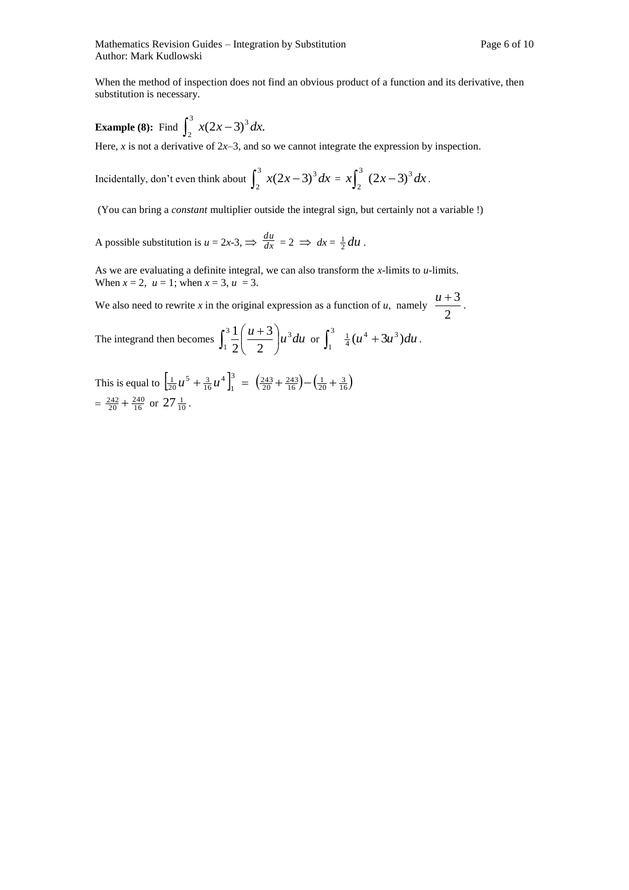.

When the method of inspection does not find an obvious product of a function and its derivative, then substitution is necessary.

**Example (8):** Find 
$$
\int_{2}^{3} x(2x-3)^{3} dx
$$
.

Here,  $x$  is not a derivative of  $2x-3$ , and so we cannot integrate the expression by inspection.

Incidentally, don't even think about 
$$
\int_2^3 x(2x-3)^3 dx = x \int_2^3 (2x-3)^3 dx
$$

(You can bring a *constant* multiplier outside the integral sign, but certainly not a variable !)

A possible substitution is  $u = 2x-3$ ,  $\Rightarrow \frac{du}{dx}$  $\frac{du}{dx} = 2 \implies dx = \frac{1}{2} du$ .

As we are evaluating a definite integral, we can also transform the *x-*limits to *u-*limits. When  $x = 2$ ,  $u = 1$ ; when  $x = 3$ ,  $u = 3$ .

We also need to rewrite *x* in the original expression as a function of *u*, namely  $\frac{a}{2}$  $\frac{u+3}{2}$ .

The integrand then becomes  $\int_1^3 \frac{1}{2} \left( \frac{u+3}{2} \right) u^3 du$ J  $\left(\frac{u+3}{2}\right)$  $\setminus$  $31(u +$ 1 3 2 3 2  $\frac{1}{2} \left( \frac{u+3}{2} \right) u^3 du$  or  $\int_1^3 \frac{1}{4} (u^4 + 3u^3) du$  $\int_1^3 \frac{1}{4}(u^4+3u^3)du$ .

This is equal to  $\left[\frac{1}{20}u^5 + \frac{3}{16}u^4\right]_1^3$ 1 4  $\frac{1}{20}u^5 + \frac{3}{16}u^4\Big]_1^3 = \Big(\frac{243}{20} + \frac{243}{16}\Big) - \Big(\frac{1}{20} + \frac{3}{16}\Big)$  $=\frac{242}{20} + \frac{240}{16}$  or  $27\frac{1}{10}$ .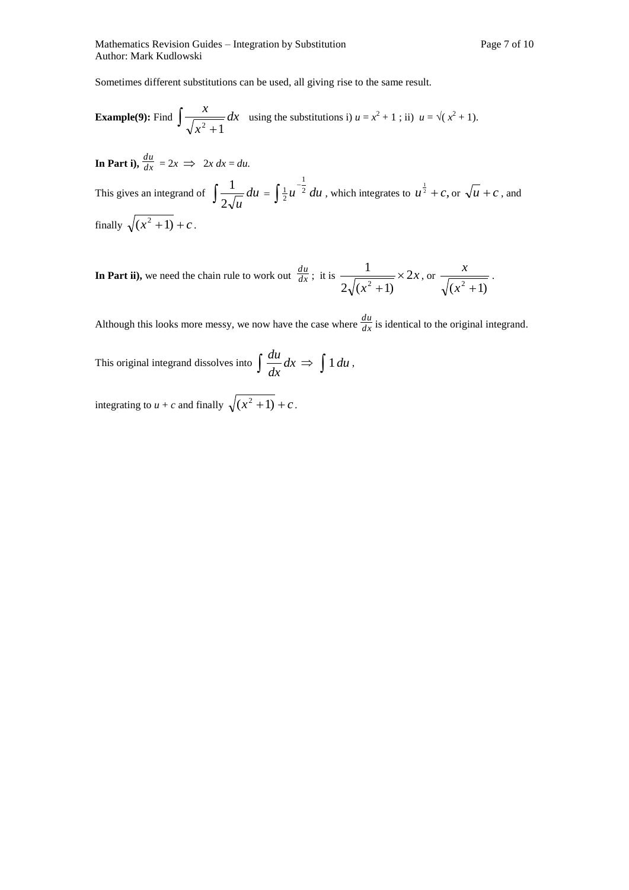Sometimes different substitutions can be used, all giving rise to the same result.

**Example(9): Find** 
$$
\int \frac{x}{\sqrt{x^2 + 1}} dx
$$
 using the substitutions i)  $u = x^2 + 1$ ; ii)  $u = \sqrt{x^2 + 1}$ .

In Part i),  $\frac{du}{dx}$  $\frac{du}{dx} = 2x \implies 2x \, dx = du.$ This gives an integrand of  $\int_{0}^{1} \frac{1}{2\sqrt{u}} du$  $2\sqrt{u}$  $\frac{1}{\sqrt{u}} du = \int \frac{1}{2} u^{-\frac{1}{2}} du$ 1  $\frac{1}{2}u^{-\frac{1}{2}} du$ , which integrates to  $u^{\frac{1}{2}} + c$ , or  $\sqrt{u} + c$ , and finally  $\sqrt{(x^2+1)} + c$ .

In Part ii), we need the chain rule to work out  $\frac{du}{dx}$  $\frac{du}{dx}$ ; it is  $\frac{1}{\sqrt{2x}} \times 2x$ *x* 2  $2\sqrt{(x^2+1)}$ 1  $\frac{1}{2+1}$   $\times$  $\overline{+}$ , or  $(x^2 + 1)$  $\frac{x}{x}$ .

Although this looks more messy, we now have the case where  $\frac{du}{dx}$  $\frac{du}{dx}$  is identical to the original integrand.

This original integrand dissolves into  $\int \frac{du}{dx} dx$ *dx*  $\frac{du}{dx}dx \Rightarrow \int 1 du$ ,

integrating to  $u + c$  and finally  $\sqrt{(x^2 + 1) + c}$ .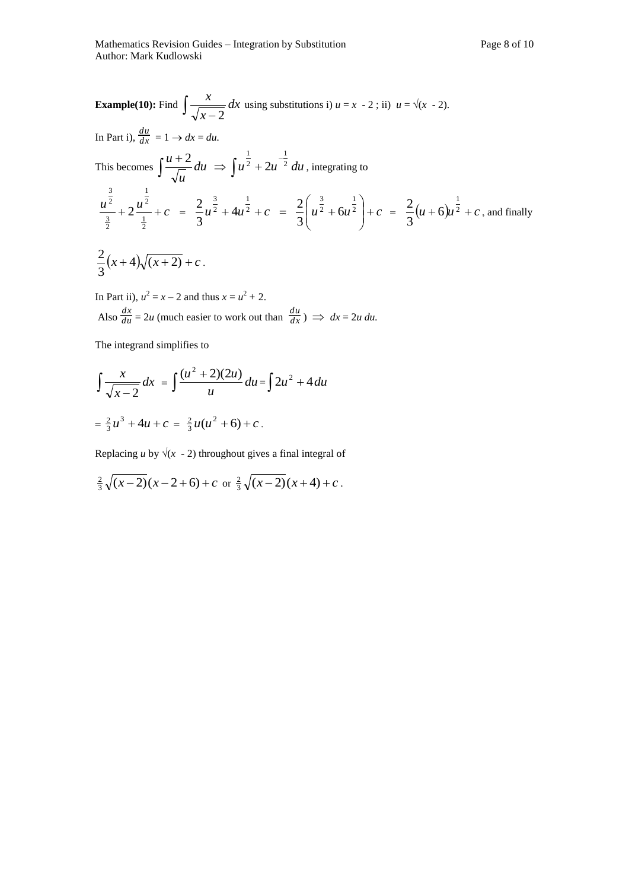Example(10): Find 
$$
\int \frac{x}{\sqrt{x-2}} dx
$$
 using substitutions i)  $u = x - 2$ ; ii)  $u = \sqrt{x-2}$ .  
\nIn Part i),  $\frac{du}{dx} = 1 \rightarrow dx = du$ .  
\nThis becomes  $\int \frac{u+2}{\sqrt{u}} du \Rightarrow \int u^{\frac{1}{2}} + 2u^{-\frac{1}{2}} du$ , integrating to  
\n $\frac{u^{\frac{3}{2}}}{\frac{3}{2}} + 2\frac{u^{\frac{1}{2}}}{\frac{1}{2}} + c = \frac{2}{3}u^{\frac{3}{2}} + 4u^{\frac{1}{2}} + c = \frac{2}{3}\left(u^{\frac{3}{2}} + 6u^{\frac{1}{2}}\right) + c = \frac{2}{3}(u+6)u^{\frac{1}{2}} + c$ , and finally  
\n $\frac{2}{3}(x+4)\sqrt{(x+2)} + c$ .

In Part ii),  $u^2 = x - 2$  and thus  $x = u^2 + 2$ . Also *du*  $\frac{dx}{du} = 2u$  (much easier to work out than  $\frac{du}{dx}$  $\frac{du}{dx}$ )  $\implies dx = 2u \, du$ .

The integrand simplifies to

$$
\int \frac{x}{\sqrt{x-2}} dx = \int \frac{(u^2+2)(2u)}{u} du = \int 2u^2 + 4 du
$$

$$
= \frac{2}{3}u^3 + 4u + c = \frac{2}{3}u(u^2 + 6) + c.
$$

Replacing *u* by  $\sqrt{x}$  - 2) throughout gives a final integral of

$$
\frac{2}{3}\sqrt{(x-2)}(x-2+6)+c \text{ or } \frac{2}{3}\sqrt{(x-2)}(x+4)+c.
$$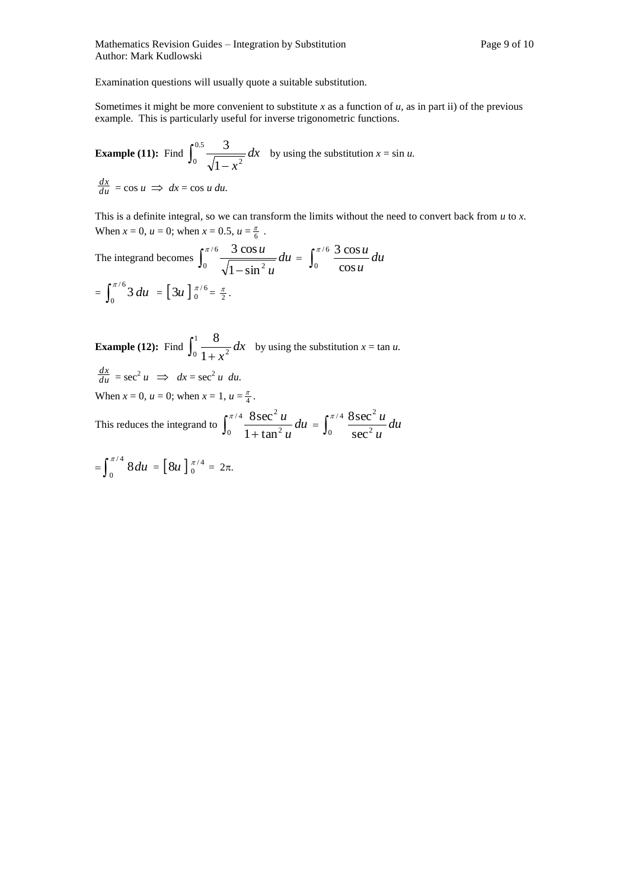Examination questions will usually quote a suitable substitution.

Sometimes it might be more convenient to substitute *x* as a function of *u*, as in part ii) of the previous example. This is particularly useful for inverse trigonometric functions.

**Example (11):** Find  $\int_{0}^{\infty} \frac{3}{\sqrt{2}} dx$  $1 - x$  $\int_0^{0.5} \frac{3}{\sqrt{1-x^2}}$ by using the substitution  $x = \sin u$ . *du*  $\frac{dx}{du}$  = cos *u*  $\implies dx$  = cos *u du.* 

This is a definite integral, so we can transform the limits without the need to convert back from *u* to *x.* When  $x = 0$ ,  $u = 0$ ; when  $x = 0.5$ ,  $u = \frac{\pi}{6}$ .

The integrand becomes 
$$
\int_0^{\pi/6} \frac{3 \cos u}{\sqrt{1 - \sin^2 u}} du = \int_0^{\pi/6} \frac{3 \cos u}{\cos u} du
$$

$$
= \int_0^{\pi/6} 3 du = [3u]_0^{\pi/6} = \frac{\pi}{2}.
$$

**Example (12):** Find  $\int_{0}^{1} \frac{6}{1+x^2} dx$  $1 + x$  $\int_0^1 \frac{8}{1+x^2} dx$  by using the substitution  $x = \tan u$ . *du*  $\frac{dx}{du}$  = sec<sup>2</sup> *u*  $\implies dx$  = sec<sup>2</sup> *u du.* When  $x = 0$ ,  $u = 0$ ; when  $x = 1$ ,  $u = \frac{\pi}{4}$ .

This reduces the integrand to  $\int_0^{\pi/4} \frac{\delta^3}{1+\delta^4}$ / 4 0 1 +  $\tan^2$ 2  $1 + tan$  $\int_0^{\pi/4} \frac{8\sec^2 u}{u^2} du$ *u*  $\frac{u}{v}$  *du* =  $\int_{0}^{\pi/4} \frac{8 \sec^2 u}{v^2} du$ *u u* sec /4 8 sec 0  $\sec^2$  $\int_0^{\pi/4} \frac{8 \sec^2}{\sec^2}$ 

$$
= \int_0^{\pi/4} 8 du = [8u]_0^{\pi/4} = 2\pi.
$$